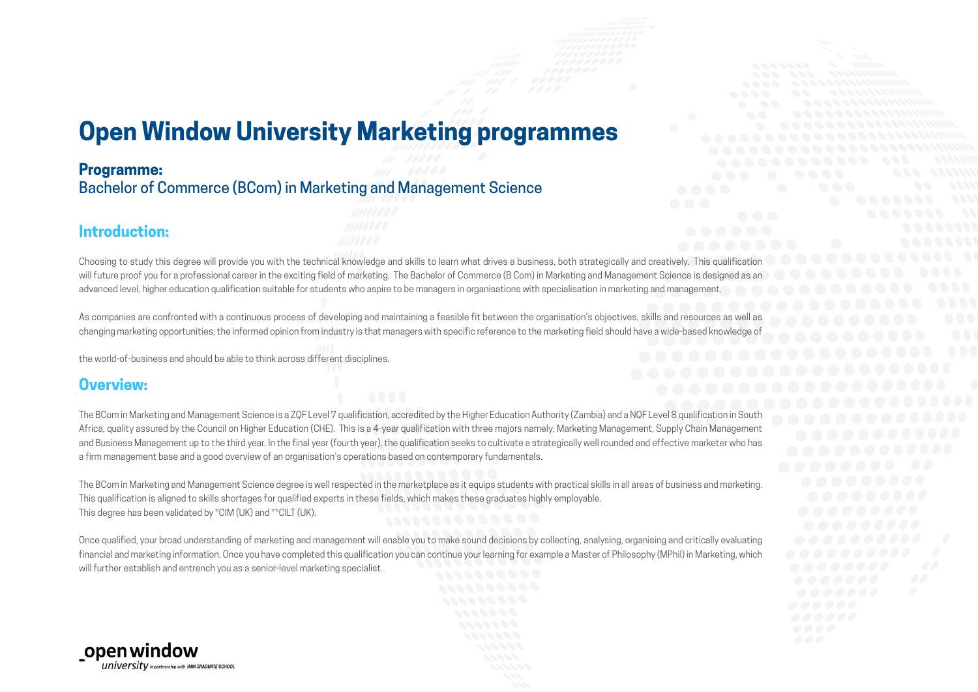## **Open Window University Marketing programmes**

#### **Programme:**

Bachelor of Commerce (BCom) in Marketing and Management Science

#### **Introduction:**

Choosing to study this degree will provide you with the technical knowledge and skills to learn what drives a business, both strategically and creatively. This qualification will future proof you for a professional career in the exciting field of marketing. The Bachelor of Commerce (B Com) in Marketing and Management Science is designed as an advanced level, higher education qualification suitable for students who aspire to be managers in organisations with specialisation in marketing and management.

As companies are confronted with a continuous process of developing and maintaining a feasible fit between the organisation's objectives, skills and resources as well as changing marketing opportunities, the informed opinion from industry is that managers with specific reference to the marketing field should have a wide-based knowledge of

the world-of-business and should be able to think across different disciplines.

#### **Overview:**

The BCom in Marketing and Management Science is a ZQF Level 7 qualification, accredited by the Higher Education Authority (Zambia) and a NQF Level 8 qualification in South Africa, quality assured by the Council on Higher Education (CHE). This is a 4-year qualification with three majors namely; Marketing Management, Supply Chain Management and Business Management up to the third year. In the final year (fourth year), the qualification seeks to cultivate a strategically well rounded and effective marketer who has a firm management base and a good overview of an organisation's operations based on contemporary fundamentals.

The BCom in Marketing and Management Science degree is well respected in the marketplace as it equips students with practical skills in all areas of business and marketing. This qualification is aligned to skills shortages for qualified experts in these fields, which makes these graduates highly employable. This degree has been validated by \*CIM (UK) and \*\*CILT (UK).

Once qualified, your broad understanding of marketing and management will enable you to make sound decisions by collecting, analysing, organising and critically evaluating financial and marketing information. Once you have completed this qualification you can continue your learning for example a Master of Philosophy (MPhil) in Marketing, which will further establish and entrench you as a senior-level marketing specialist.

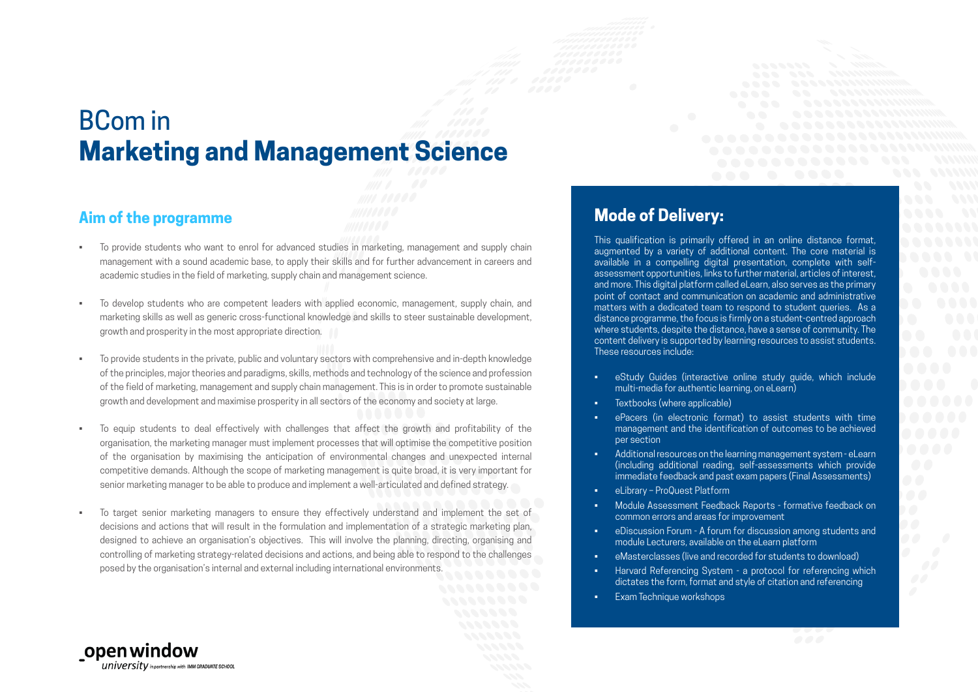# BCom in **Marketing and Management Science**

#### **Aim of the programme**

open window

 $university$  in partnership with IMM GRADUATE SCHOOL

- To provide students who want to enrol for advanced studies in marketing, management and supply chain management with a sound academic base, to apply their skills and for further advancement in careers and academic studies in the field of marketing, supply chain and management science.
- To develop students who are competent leaders with applied economic, management, supply chain, and marketing skills as well as generic cross-functional knowledge and skills to steer sustainable development, growth and prosperity in the most appropriate direction.
- To provide students in the private, public and voluntary sectors with comprehensive and in-depth knowledge of the principles, major theories and paradigms, skills, methods and technology of the science and profession of the field of marketing, management and supply chain management. This is in order to promote sustainable growth and development and maximise prosperity in all sectors of the economy and society at large.
- To equip students to deal effectively with challenges that affect the growth and profitability of the organisation, the marketing manager must implement processes that will optimise the competitive position of the organisation by maximising the anticipation of environmental changes and unexpected internal competitive demands. Although the scope of marketing management is quite broad, it is very important for senior marketing manager to be able to produce and implement a well-articulated and defined strategy.
- To target senior marketing managers to ensure they effectively understand and implement the set of decisions and actions that will result in the formulation and implementation of a strategic marketing plan, designed to achieve an organisation's objectives. This will involve the planning, directing, organising and controlling of marketing strategy-related decisions and actions, and being able to respond to the challenges posed by the organisation's internal and external including international environments.

### **Mode of Delivery:**

This qualification is primarily offered in an online distance format, augmented by a variety of additional content. The core material is available in a compelling digital presentation, complete with selfassessment opportunities, links to further material, articles of interest, and more. This digital platform called eLearn, also serves as the primary point of contact and communication on academic and administrative matters with a dedicated team to respond to student queries. As a distance programme, the focus is firmly on a student-centred approach where students, despite the distance, have a sense of community. The content delivery is supported by learning resources to assist students. These resources include:

- eStudy Guides (interactive online study guide, which include multi-media for authentic learning, on eLearn)
- Textbooks (where applicable)
- ePacers (in electronic format) to assist students with time management and the identification of outcomes to be achieved per section
- Additional resources on the learning management system eLearn (including additional reading, self-assessments which provide immediate feedback and past exam papers (Final Assessments)
- eLibrary ProQuest Platform
- Module Assessment Feedback Reports formative feedback on common errors and areas for improvement
- eDiscussion Forum A forum for discussion among students and module Lecturers, available on the eLearn platform
- eMasterclasses (live and recorded for students to download)
- Harvard Referencing System a protocol for referencing which dictates the form, format and style of citation and referencing
- Exam Technique workshops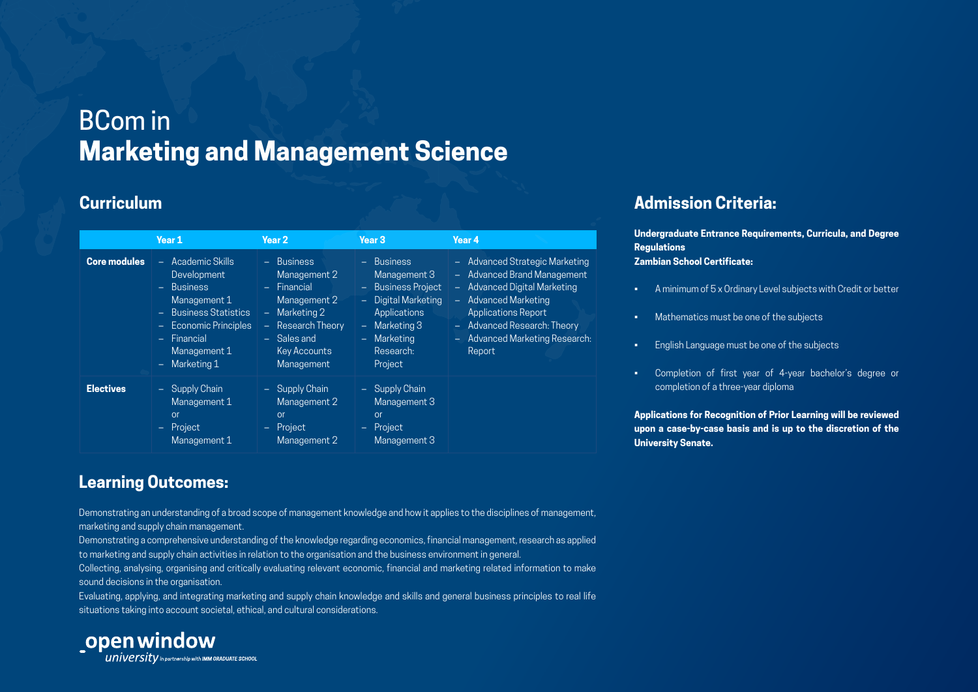# BCom in **Marketing and Management Science**

#### **Curriculum**

|                     | Year 1                                                                                                                                                             | Year 2                                                                                                                                                  | Year <sub>3</sub>                                                                                                                                                              | Year 4                                                                                                                                                                                                                  |
|---------------------|--------------------------------------------------------------------------------------------------------------------------------------------------------------------|---------------------------------------------------------------------------------------------------------------------------------------------------------|--------------------------------------------------------------------------------------------------------------------------------------------------------------------------------|-------------------------------------------------------------------------------------------------------------------------------------------------------------------------------------------------------------------------|
| <b>Core modules</b> | - Academic Skills<br>Development<br>$-$ Business<br>Management 1<br>- Business Statistics<br>- Economic Principles<br>- Financial<br>Management 1<br>- Marketing 1 | - Business<br>Management 2<br>- Financial<br>Management 2<br>- Marketing 2<br>Research Theory<br>÷.<br>- Sales and<br><b>Key Accounts</b><br>Management | - Business<br>Management 3<br><b>Business Project</b><br>$\equiv 1$<br>- Digital Marketing<br>Applications<br>$-$ Marketing 3<br>Marketing<br>$\sim$ .<br>Research:<br>Project | - Advanced Strategic Marketing<br>- Advanced Brand Management<br>- Advanced Digital Marketing<br>- Advanced Marketing<br>Applications Report<br>- Advanced Research: Theory<br>- Advanced Marketing Research:<br>Report |
| <b>Electives</b>    | - Supply Chain<br>Management 1<br>or<br>Project<br>$\sim$ .<br>Management 1                                                                                        | - Supply Chain<br>Management 2<br>or<br>Project<br>$\equiv 1$<br>Management 2                                                                           | - Supply Chain<br>Management 3<br>or<br>- Project<br>Management 3                                                                                                              |                                                                                                                                                                                                                         |

## **Admission Criteria:**

**Undergraduate Entrance Requirements, Curricula, and Degree Regulations Zambian School Certificate:**

- A minimum of 5 x Ordinary Level subjects with Credit or better
- Mathematics must be one of the subjects
- English Language must be one of the subjects
- Completion of first year of 4-year bachelor's degree or completion of a three-year diploma

**Applications for Recognition of Prior Learning will be reviewed upon a case-by-case basis and is up to the discretion of the University Senate.**

### **Learning Outcomes:**

Demonstrating an understanding of a broad scope of management knowledge and how it applies to the disciplines of management, marketing and supply chain management.

Demonstrating a comprehensive understanding of the knowledge regarding economics, financial management, research as applied to marketing and supply chain activities in relation to the organisation and the business environment in general.

Collecting, analysing, organising and critically evaluating relevant economic, financial and marketing related information to make sound decisions in the organisation.

Evaluating, applying, and integrating marketing and supply chain knowledge and skills and general business principles to real life situations taking into account societal, ethical, and cultural considerations.